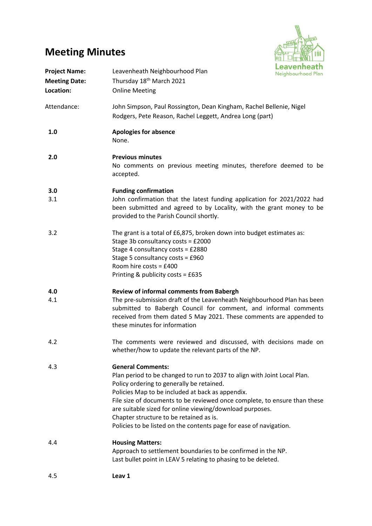## **Meeting Minutes**



| <b>Project Name:</b><br><b>Meeting Date:</b><br>Location: | Leavenheath<br>Leavenheath Neighbourhood Plan<br>Neighbourhood Plan<br>Thursday 18 <sup>th</sup> March 2021<br><b>Online Meeting</b>                                                                                                                                                                                                                                                                                                                            |  |
|-----------------------------------------------------------|-----------------------------------------------------------------------------------------------------------------------------------------------------------------------------------------------------------------------------------------------------------------------------------------------------------------------------------------------------------------------------------------------------------------------------------------------------------------|--|
| Attendance:                                               | John Simpson, Paul Rossington, Dean Kingham, Rachel Bellenie, Nigel<br>Rodgers, Pete Reason, Rachel Leggett, Andrea Long (part)                                                                                                                                                                                                                                                                                                                                 |  |
| 1.0                                                       | <b>Apologies for absence</b><br>None.                                                                                                                                                                                                                                                                                                                                                                                                                           |  |
| 2.0                                                       | <b>Previous minutes</b><br>No comments on previous meeting minutes, therefore deemed to be<br>accepted.                                                                                                                                                                                                                                                                                                                                                         |  |
| 3.0<br>3.1                                                | <b>Funding confirmation</b><br>John confirmation that the latest funding application for 2021/2022 had<br>been submitted and agreed to by Locality, with the grant money to be<br>provided to the Parish Council shortly.                                                                                                                                                                                                                                       |  |
| 3.2                                                       | The grant is a total of £6,875, broken down into budget estimates as:<br>Stage 3b consultancy costs = £2000<br>Stage 4 consultancy costs = £2880<br>Stage 5 consultancy costs = £960<br>Room hire costs = $£400$<br>Printing & publicity costs = £635                                                                                                                                                                                                           |  |
| 4.0<br>4.1                                                | <b>Review of informal comments from Babergh</b><br>The pre-submission draft of the Leavenheath Neighbourhood Plan has been<br>submitted to Babergh Council for comment, and informal comments<br>received from them dated 5 May 2021. These comments are appended to<br>these minutes for information                                                                                                                                                           |  |
| 4.2                                                       | The comments were reviewed and discussed, with decisions made on<br>whether/how to update the relevant parts of the NP.                                                                                                                                                                                                                                                                                                                                         |  |
| 4.3                                                       | <b>General Comments:</b><br>Plan period to be changed to run to 2037 to align with Joint Local Plan.<br>Policy ordering to generally be retained.<br>Policies Map to be included at back as appendix.<br>File size of documents to be reviewed once complete, to ensure than these<br>are suitable sized for online viewing/download purposes.<br>Chapter structure to be retained as is.<br>Policies to be listed on the contents page for ease of navigation. |  |
| 4.4                                                       | <b>Housing Matters:</b><br>Approach to settlement boundaries to be confirmed in the NP.<br>Last bullet point in LEAV 5 relating to phasing to be deleted.                                                                                                                                                                                                                                                                                                       |  |
| 4.5                                                       | Leav 1                                                                                                                                                                                                                                                                                                                                                                                                                                                          |  |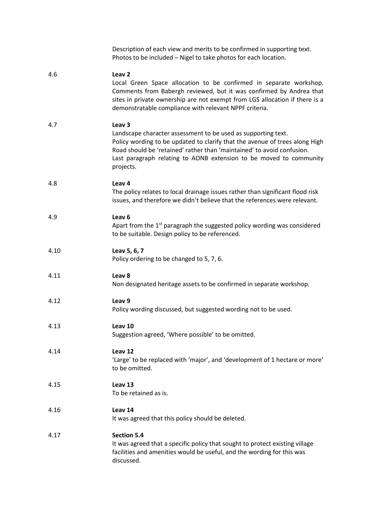|      | Description of each view and merits to be confirmed in supporting text.<br>Photos to be included - Nigel to take photos for each location.                                                                                                                                                                                     |
|------|--------------------------------------------------------------------------------------------------------------------------------------------------------------------------------------------------------------------------------------------------------------------------------------------------------------------------------|
| 4.6  | Leav <sub>2</sub><br>Local Green Space allocation to be confirmed in separate workshop.<br>Comments from Babergh reviewed, but it was confirmed by Andrea that<br>sites in private ownership are not exempt from LGS allocation if there is a<br>demonstratable compliance with relevant NPPF criteria.                        |
| 4.7  | Leav <sub>3</sub><br>Landscape character assessment to be used as supporting text.<br>Policy wording to be updated to clarify that the avenue of trees along High<br>Road should be 'retained' rather than 'maintained' to avoid confusion.<br>Last paragraph relating to AONB extension to be moved to community<br>projects. |
| 4.8  | Leav 4<br>The policy relates to local drainage issues rather than significant flood risk<br>issues, and therefore we didn't believe that the references were relevant.                                                                                                                                                         |
| 4.9  | Leav <sub>6</sub><br>Apart from the 1 <sup>st</sup> paragraph the suggested policy wording was considered<br>to be suitable. Design policy to be referenced.                                                                                                                                                                   |
| 4.10 | Leav 5, 6, 7<br>Policy ordering to be changed to 5, 7, 6.                                                                                                                                                                                                                                                                      |
| 4.11 | Leav 8<br>Non designated heritage assets to be confirmed in separate workshop.                                                                                                                                                                                                                                                 |
| 4.12 | Leav <sub>9</sub><br>Policy wording discussed, but suggested wording not to be used.                                                                                                                                                                                                                                           |
| 4.13 | Leav 10<br>Suggestion agreed, 'Where possible' to be omitted.                                                                                                                                                                                                                                                                  |
| 4.14 | Leav 12<br>'Large' to be replaced with 'major', and 'development of 1 hectare or more'<br>to be omitted.                                                                                                                                                                                                                       |
| 4.15 | Leav 13<br>To be retained as is.                                                                                                                                                                                                                                                                                               |
| 4.16 | Leav 14<br>It was agreed that this policy should be deleted.                                                                                                                                                                                                                                                                   |
| 4.17 | <b>Section 5.4</b><br>It was agreed that a specific policy that sought to protect existing village<br>facilities and amenities would be useful, and the wording for this was<br>discussed.                                                                                                                                     |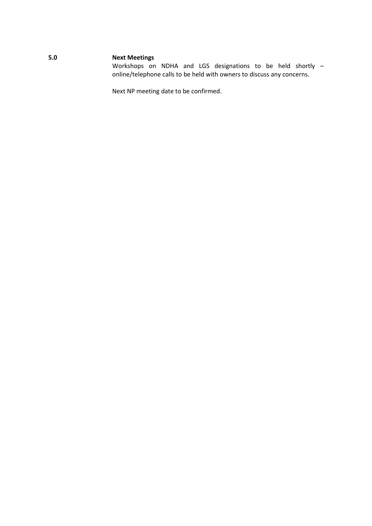## **5.0 Next Meetings**

Workshops on NDHA and LGS designations to be held shortly – online/telephone calls to be held with owners to discuss any concerns.

Next NP meeting date to be confirmed.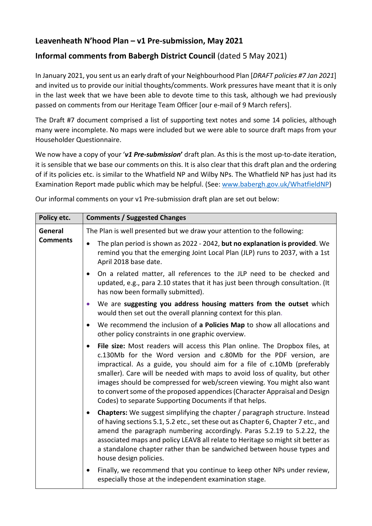## **Leavenheath N'hood Plan – v1 Pre-submission, May 2021**

## **Informal comments from Babergh District Council** (dated 5 May 2021)

In January 2021, you sent us an early draft of your Neighbourhood Plan [*DRAFT policies #7 Jan 2021*] and invited us to provide our initial thoughts/comments. Work pressures have meant that it is only in the last week that we have been able to devote time to this task, although we had previously passed on comments from our Heritage Team Officer [our e-mail of 9 March refers].

The Draft #7 document comprised a list of supporting text notes and some 14 policies, although many were incomplete. No maps were included but we were able to source draft maps from your Householder Questionnaire.

We now have a copy of your '*v1 Pre-submission***'** draft plan. As this is the most up-to-date iteration, it is sensible that we base our comments on this. It is also clear that this draft plan and the ordering of if its policies etc. is similar to the Whatfield NP and Wilby NPs. The Whatfield NP has just had its Examination Report made public which may be helpful. (See: [www.babergh.gov.uk/WhatfieldNP\)](http://www.babergh.gov.uk/WhatfieldNP)

Our informal comments on your v1 Pre-submission draft plan are set out below:

| Policy etc.                | <b>Comments / Suggested Changes</b>                                                                                                                                                                                                                                                                                                                                                                                                                                                                                                        |
|----------------------------|--------------------------------------------------------------------------------------------------------------------------------------------------------------------------------------------------------------------------------------------------------------------------------------------------------------------------------------------------------------------------------------------------------------------------------------------------------------------------------------------------------------------------------------------|
| General<br><b>Comments</b> | The Plan is well presented but we draw your attention to the following:                                                                                                                                                                                                                                                                                                                                                                                                                                                                    |
|                            | The plan period is shown as 2022 - 2042, but no explanation is provided. We<br>$\bullet$<br>remind you that the emerging Joint Local Plan (JLP) runs to 2037, with a 1st<br>April 2018 base date.                                                                                                                                                                                                                                                                                                                                          |
|                            | On a related matter, all references to the JLP need to be checked and<br>$\bullet$<br>updated, e.g., para 2.10 states that it has just been through consultation. (It<br>has now been formally submitted).                                                                                                                                                                                                                                                                                                                                 |
|                            | We are suggesting you address housing matters from the outset which<br>$\bullet$<br>would then set out the overall planning context for this plan.                                                                                                                                                                                                                                                                                                                                                                                         |
|                            | We recommend the inclusion of a Policies Map to show all allocations and<br>$\bullet$<br>other policy constraints in one graphic overview.                                                                                                                                                                                                                                                                                                                                                                                                 |
|                            | File size: Most readers will access this Plan online. The Dropbox files, at<br>$\bullet$<br>c.130Mb for the Word version and c.80Mb for the PDF version, are<br>impractical. As a guide, you should aim for a file of c.10Mb (preferably<br>smaller). Care will be needed with maps to avoid loss of quality, but other<br>images should be compressed for web/screen viewing. You might also want<br>to convert some of the proposed appendices (Character Appraisal and Design<br>Codes) to separate Supporting Documents if that helps. |
|                            | <b>Chapters:</b> We suggest simplifying the chapter / paragraph structure. Instead<br>$\bullet$<br>of having sections 5.1, 5.2 etc., set these out as Chapter 6, Chapter 7 etc., and<br>amend the paragraph numbering accordingly. Paras 5.2.19 to 5.2.22, the<br>associated maps and policy LEAV8 all relate to Heritage so might sit better as<br>a standalone chapter rather than be sandwiched between house types and<br>house design policies.                                                                                       |
|                            | Finally, we recommend that you continue to keep other NPs under review,<br>٠<br>especially those at the independent examination stage.                                                                                                                                                                                                                                                                                                                                                                                                     |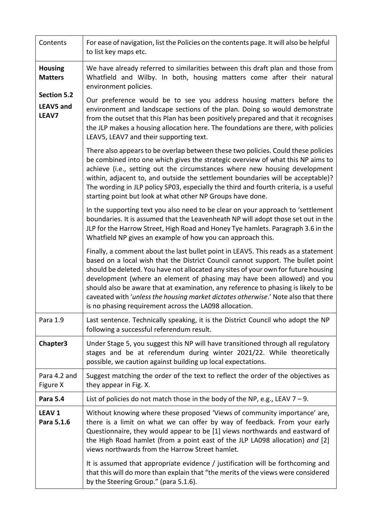| Contents                                        | For ease of navigation, list the Policies on the contents page. It will also be helpful<br>to list key maps etc.                                                                                                                                                                                                                                                                                                                                                                                                                                                              |
|-------------------------------------------------|-------------------------------------------------------------------------------------------------------------------------------------------------------------------------------------------------------------------------------------------------------------------------------------------------------------------------------------------------------------------------------------------------------------------------------------------------------------------------------------------------------------------------------------------------------------------------------|
| <b>Housing</b><br><b>Matters</b>                | We have already referred to similarities between this draft plan and those from<br>Whatfield and Wilby. In both, housing matters come after their natural<br>environment policies.                                                                                                                                                                                                                                                                                                                                                                                            |
| <b>Section 5.2</b><br><b>LEAV5 and</b><br>LEAV7 | Our preference would be to see you address housing matters before the<br>environment and landscape sections of the plan. Doing so would demonstrate<br>from the outset that this Plan has been positively prepared and that it recognises<br>the JLP makes a housing allocation here. The foundations are there, with policies<br>LEAV5, LEAV7 and their supporting text.                                                                                                                                                                                                     |
|                                                 | There also appears to be overlap between these two policies. Could these policies<br>be combined into one which gives the strategic overview of what this NP aims to<br>achieve (i.e., setting out the circumstances where new housing development<br>within, adjacent to, and outside the settlement boundaries will be acceptable)?<br>The wording in JLP policy SP03, especially the third and fourth criteria, is a useful<br>starting point but look at what other NP Groups have done.                                                                                  |
|                                                 | In the supporting text you also need to be clear on your approach to 'settlement<br>boundaries. It is assumed that the Leavenheath NP will adopt those set out in the<br>JLP for the Harrow Street, High Road and Honey Tye hamlets. Paragraph 3.6 in the<br>Whatfield NP gives an example of how you can approach this.                                                                                                                                                                                                                                                      |
|                                                 | Finally, a comment about the last bullet point in LEAV5. This reads as a statement<br>based on a local wish that the District Council cannot support. The bullet point<br>should be deleted. You have not allocated any sites of your own for future housing<br>development (where an element of phasing may have been allowed) and you<br>should also be aware that at examination, any reference to phasing is likely to be<br>caveated with 'unless the housing market dictates otherwise.' Note also that there<br>is no phasing requirement across the LA098 allocation. |
| Para 1.9                                        | Last sentence. Technically speaking, it is the District Council who adopt the NP<br>following a successful referendum result.                                                                                                                                                                                                                                                                                                                                                                                                                                                 |
| Chapter3                                        | Under Stage 5, you suggest this NP will have transitioned through all regulatory<br>stages and be at referendum during winter 2021/22. While theoretically<br>possible, we caution against building up local expectations.                                                                                                                                                                                                                                                                                                                                                    |
| Para 4.2 and<br>Figure X                        | Suggest matching the order of the text to reflect the order of the objectives as<br>they appear in Fig. X.                                                                                                                                                                                                                                                                                                                                                                                                                                                                    |
| <b>Para 5.4</b>                                 | List of policies do not match those in the body of the NP, e.g., LEAV $7 - 9$ .                                                                                                                                                                                                                                                                                                                                                                                                                                                                                               |
| LEAV <sub>1</sub><br>Para 5.1.6                 | Without knowing where these proposed 'Views of community importance' are,<br>there is a limit on what we can offer by way of feedback. From your early<br>Questionnaire, they would appear to be [1] views northwards and eastward of<br>the High Road hamlet (from a point east of the JLP LA098 allocation) and [2]<br>views northwards from the Harrow Street hamlet.                                                                                                                                                                                                      |
|                                                 | It is assumed that appropriate evidence / justification will be forthcoming and<br>that this will do more than explain that "the merits of the views were considered<br>by the Steering Group." (para 5.1.6).                                                                                                                                                                                                                                                                                                                                                                 |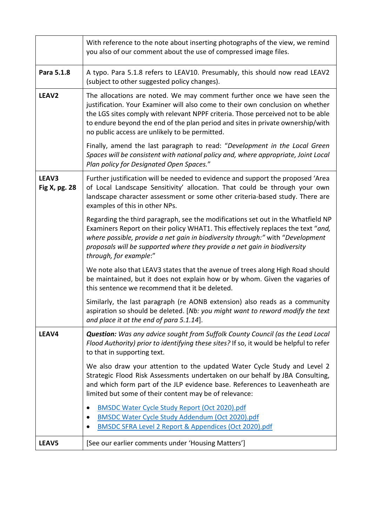|                        | With reference to the note about inserting photographs of the view, we remind<br>you also of our comment about the use of compressed image files.                                                                                                                                                                                                                                  |
|------------------------|------------------------------------------------------------------------------------------------------------------------------------------------------------------------------------------------------------------------------------------------------------------------------------------------------------------------------------------------------------------------------------|
| Para 5.1.8             | A typo. Para 5.1.8 refers to LEAV10. Presumably, this should now read LEAV2<br>(subject to other suggested policy changes).                                                                                                                                                                                                                                                        |
| LEAV <sub>2</sub>      | The allocations are noted. We may comment further once we have seen the<br>justification. Your Examiner will also come to their own conclusion on whether<br>the LGS sites comply with relevant NPPF criteria. Those perceived not to be able<br>to endure beyond the end of the plan period and sites in private ownership/with<br>no public access are unlikely to be permitted. |
|                        | Finally, amend the last paragraph to read: "Development in the Local Green<br>Spaces will be consistent with national policy and, where appropriate, Joint Local<br>Plan policy for Designated Open Spaces."                                                                                                                                                                       |
| LEAV3<br>Fig X, pg. 28 | Further justification will be needed to evidence and support the proposed 'Area<br>of Local Landscape Sensitivity' allocation. That could be through your own<br>landscape character assessment or some other criteria-based study. There are<br>examples of this in other NPs.                                                                                                    |
|                        | Regarding the third paragraph, see the modifications set out in the Whatfield NP<br>Examiners Report on their policy WHAT1. This effectively replaces the text "and,<br>where possible, provide a net gain in biodiversity through:" with "Development<br>proposals will be supported where they provide a net gain in biodiversity<br>through, for example:"                      |
|                        | We note also that LEAV3 states that the avenue of trees along High Road should<br>be maintained, but it does not explain how or by whom. Given the vagaries of<br>this sentence we recommend that it be deleted.                                                                                                                                                                   |
|                        | Similarly, the last paragraph (re AONB extension) also reads as a community<br>aspiration so should be deleted. [Nb: you might want to reword modify the text<br>and place it at the end of para 5.1.14].                                                                                                                                                                          |
| LEAV4                  | <b>Question:</b> Was any advice sought from Suffolk County Council (as the Lead Local<br>Flood Authority) prior to identifying these sites? If so, it would be helpful to refer<br>to that in supporting text.                                                                                                                                                                     |
|                        | We also draw your attention to the updated Water Cycle Study and Level 2<br>Strategic Flood Risk Assessments undertaken on our behalf by JBA Consulting,<br>and which form part of the JLP evidence base. References to Leavenheath are<br>limited but some of their content may be of relevance:                                                                                  |
|                        | <b>BMSDC Water Cycle Study Report (Oct 2020).pdf</b><br>٠<br><b>BMSDC Water Cycle Study Addendum (Oct 2020).pdf</b><br>BMSDC SFRA Level 2 Report & Appendices (Oct 2020).pdf                                                                                                                                                                                                       |
| LEAV5                  | [See our earlier comments under 'Housing Matters']                                                                                                                                                                                                                                                                                                                                 |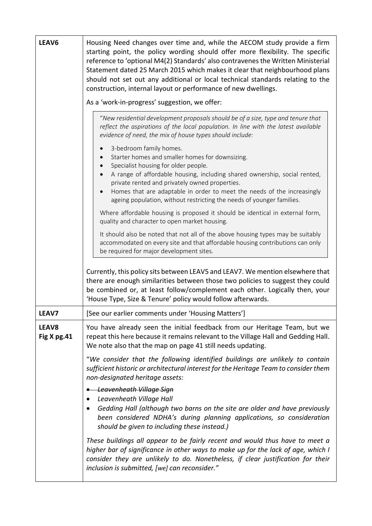| LEAV6                       | Housing Need changes over time and, while the AECOM study provide a firm<br>starting point, the policy wording should offer more flexibility. The specific<br>reference to 'optional M4(2) Standards' also contravenes the Written Ministerial<br>Statement dated 25 March 2015 which makes it clear that neighbourhood plans<br>should not set out any additional or local technical standards relating to the<br>construction, internal layout or performance of new dwellings. |
|-----------------------------|-----------------------------------------------------------------------------------------------------------------------------------------------------------------------------------------------------------------------------------------------------------------------------------------------------------------------------------------------------------------------------------------------------------------------------------------------------------------------------------|
|                             | As a 'work-in-progress' suggestion, we offer:                                                                                                                                                                                                                                                                                                                                                                                                                                     |
|                             | "New residential development proposals should be of a size, type and tenure that<br>reflect the aspirations of the local population. In line with the latest available<br>evidence of need, the mix of house types should include:                                                                                                                                                                                                                                                |
|                             | 3-bedroom family homes.<br>$\bullet$<br>Starter homes and smaller homes for downsizing.<br>$\bullet$<br>Specialist housing for older people.<br>$\bullet$<br>A range of affordable housing, including shared ownership, social rented,                                                                                                                                                                                                                                            |
|                             | private rented and privately owned properties.<br>Homes that are adaptable in order to meet the needs of the increasingly<br>$\bullet$<br>ageing population, without restricting the needs of younger families.                                                                                                                                                                                                                                                                   |
|                             | Where affordable housing is proposed it should be identical in external form,<br>quality and character to open market housing.                                                                                                                                                                                                                                                                                                                                                    |
|                             | It should also be noted that not all of the above housing types may be suitably<br>accommodated on every site and that affordable housing contributions can only<br>be required for major development sites.                                                                                                                                                                                                                                                                      |
|                             | Currently, this policy sits between LEAV5 and LEAV7. We mention elsewhere that<br>there are enough similarities between those two policies to suggest they could<br>be combined or, at least follow/complement each other. Logically then, your<br>'House Type, Size & Tenure' policy would follow afterwards.                                                                                                                                                                    |
| LEAV7                       | [See our earlier comments under 'Housing Matters']                                                                                                                                                                                                                                                                                                                                                                                                                                |
| <b>LEAV8</b><br>Fig X pg.41 | You have already seen the initial feedback from our Heritage Team, but we<br>repeat this here because it remains relevant to the Village Hall and Gedding Hall.<br>We note also that the map on page 41 still needs updating.                                                                                                                                                                                                                                                     |
|                             | "We consider that the following identified buildings are unlikely to contain<br>sufficient historic or architectural interest for the Heritage Team to consider them<br>non-designated heritage assets:                                                                                                                                                                                                                                                                           |
|                             | <b>Leavenheath Village Sign</b><br>Leavenheath Village Hall<br>Gedding Hall (although two barns on the site are older and have previously<br>been considered NDHA's during planning applications, so consideration<br>should be given to including these instead.)                                                                                                                                                                                                                |
|                             | These buildings all appear to be fairly recent and would thus have to meet a<br>higher bar of significance in other ways to make up for the lack of age, which I<br>consider they are unlikely to do. Nonetheless, if clear justification for their<br>inclusion is submitted, [we] can reconsider."                                                                                                                                                                              |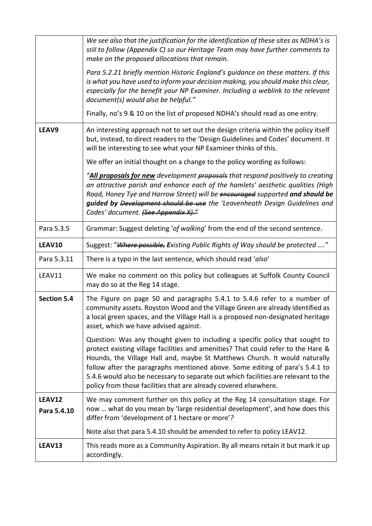|                       | We see also that the justification for the identification of these sites as NDHA's is<br>still to follow (Appendix C) so our Heritage Team may have further comments to<br>make on the proposed allocations that remain.<br>Para 5.2.21 briefly mention Historic England's guidance on these matters. If this<br>is what you have used to inform your decision making, you should make this clear,<br>especially for the benefit your NP Examiner. Including a weblink to the relevant<br>document(s) would also be helpful."<br>Finally, no's 9 & 10 on the list of proposed NDHA's should read as one entry. |
|-----------------------|----------------------------------------------------------------------------------------------------------------------------------------------------------------------------------------------------------------------------------------------------------------------------------------------------------------------------------------------------------------------------------------------------------------------------------------------------------------------------------------------------------------------------------------------------------------------------------------------------------------|
| LEAV9                 | An interesting approach not to set out the design criteria within the policy itself<br>but, instead, to direct readers to the 'Design Guidelines and Codes' document. It<br>will be interesting to see what your NP Examiner thinks of this.                                                                                                                                                                                                                                                                                                                                                                   |
|                       | We offer an initial thought on a change to the policy wording as follows:<br>"All proposals for new development <del>proposals</del> that respond positively to creating<br>an attractive parish and enhance each of the hamlets' aesthetic qualities (High                                                                                                                                                                                                                                                                                                                                                    |
|                       | Road, Honey Tye and Harrow Street) will be encouraged supported and should be<br>guided by Development should be use the 'Leavenheath Design Guidelines and<br>Codes' document. (See Appendix X)."                                                                                                                                                                                                                                                                                                                                                                                                             |
| Para 5.3.5            | Grammar: Suggest deleting 'of walking' from the end of the second sentence.                                                                                                                                                                                                                                                                                                                                                                                                                                                                                                                                    |
| LEAV10                | Suggest: "Where possible, Existing Public Rights of Way should be protected "                                                                                                                                                                                                                                                                                                                                                                                                                                                                                                                                  |
| Para 5.3.11           | There is a typo in the last sentence, which should read 'also'                                                                                                                                                                                                                                                                                                                                                                                                                                                                                                                                                 |
| LEAV11                | We make no comment on this policy but colleagues at Suffolk County Council<br>may do so at the Reg 14 stage.                                                                                                                                                                                                                                                                                                                                                                                                                                                                                                   |
| <b>Section 5.4</b>    | The Figure on page 50 and paragraphs 5.4.1 to 5.4.6 refer to a number of<br>community assets. Royston Wood and the Village Green are already identified as<br>a local green spaces, and the Village Hall is a proposed non-designated heritage<br>asset, which we have advised against.                                                                                                                                                                                                                                                                                                                        |
|                       | Question: Was any thought given to including a specific policy that sought to<br>protect existing village facilities and amenities? That could refer to the Hare &<br>Hounds, the Village Hall and, maybe St Matthews Church. It would naturally<br>follow after the paragraphs mentioned above. Some editing of para's 5.4.1 to<br>5.4.6 would also be necessary to separate out which facilities are relevant to the<br>policy from those facilities that are already covered elsewhere.                                                                                                                     |
| LEAV12<br>Para 5.4.10 | We may comment further on this policy at the Reg 14 consultation stage. For<br>now  what do you mean by 'large residential development', and how does this<br>differ from 'development of 1 hectare or more'?                                                                                                                                                                                                                                                                                                                                                                                                  |
|                       | Note also that para 5.4.10 should be amended to refer to policy LEAV12.                                                                                                                                                                                                                                                                                                                                                                                                                                                                                                                                        |
| LEAV13                | This reads more as a Community Aspiration. By all means retain it but mark it up<br>accordingly.                                                                                                                                                                                                                                                                                                                                                                                                                                                                                                               |